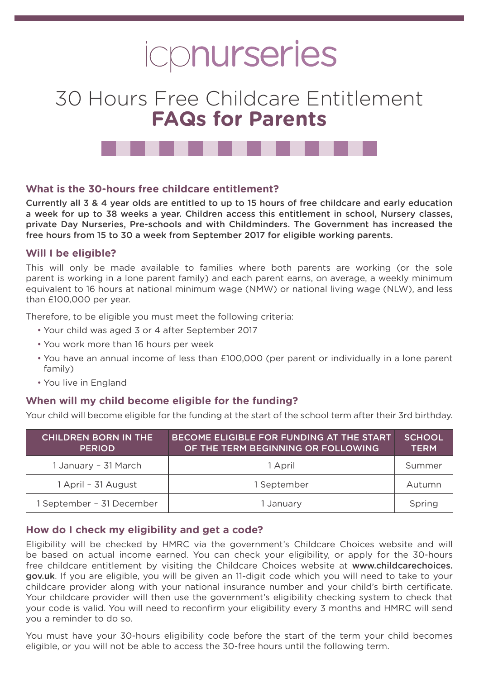# icpnurseries

# 30 Hours Free Childcare Entitlement **FAQs for Parents**



# **What is the 30-hours free childcare entitlement?**

Currently all 3 & 4 year olds are entitled to up to 15 hours of free childcare and early education a week for up to 38 weeks a year. Children access this entitlement in school, Nursery classes, private Day Nurseries, Pre-schools and with Childminders. The Government has increased the free hours from 15 to 30 a week from September 2017 for eligible working parents.

#### **Will I be eligible?**

This will only be made available to families where both parents are working (or the sole parent is working in a lone parent family) and each parent earns, on average, a weekly minimum equivalent to 16 hours at national minimum wage (NMW) or national living wage (NLW), and less than £100,000 per year.

Therefore, to be eligible you must meet the following criteria:

- Your child was aged 3 or 4 after September 2017
- You work more than 16 hours per week
- You have an annual income of less than £100,000 (per parent or individually in a lone parent family)
- You live in England

#### **When will my child become eligible for the funding?**

Your child will become eligible for the funding at the start of the school term after their 3rd birthday.

| <b>CHILDREN BORN IN THE</b><br><b>PERIOD</b> | BECOME ELIGIBLE FOR FUNDING AT THE START<br>OF THE TERM BEGINNING OR FOLLOWING | <b>SCHOOL</b><br><b>TERM</b> |
|----------------------------------------------|--------------------------------------------------------------------------------|------------------------------|
| 1 January - 31 March                         | 1 April                                                                        | Summer                       |
| 1 April - 31 August                          | 1 September                                                                    | Autumn                       |
| 1 September - 31 December                    | 1 January                                                                      | Spring                       |

#### **How do I check my eligibility and get a code?**

Eligibility will be checked by HMRC via the government's Childcare Choices website and will be based on actual income earned. You can check your eligibility, or apply for the 30-hours free childcare entitlement by visiting the Childcare Choices website at www.childcarechoices. gov.uk. If you are eligible, you will be given an 11-digit code which you will need to take to your childcare provider along with your national insurance number and your child's birth certificate. Your childcare provider will then use the government's eligibility checking system to check that your code is valid. You will need to reconfirm your eligibility every 3 months and HMRC will send you a reminder to do so.

You must have your 30-hours eligibility code before the start of the term your child becomes eligible, or you will not be able to access the 30-free hours until the following term.